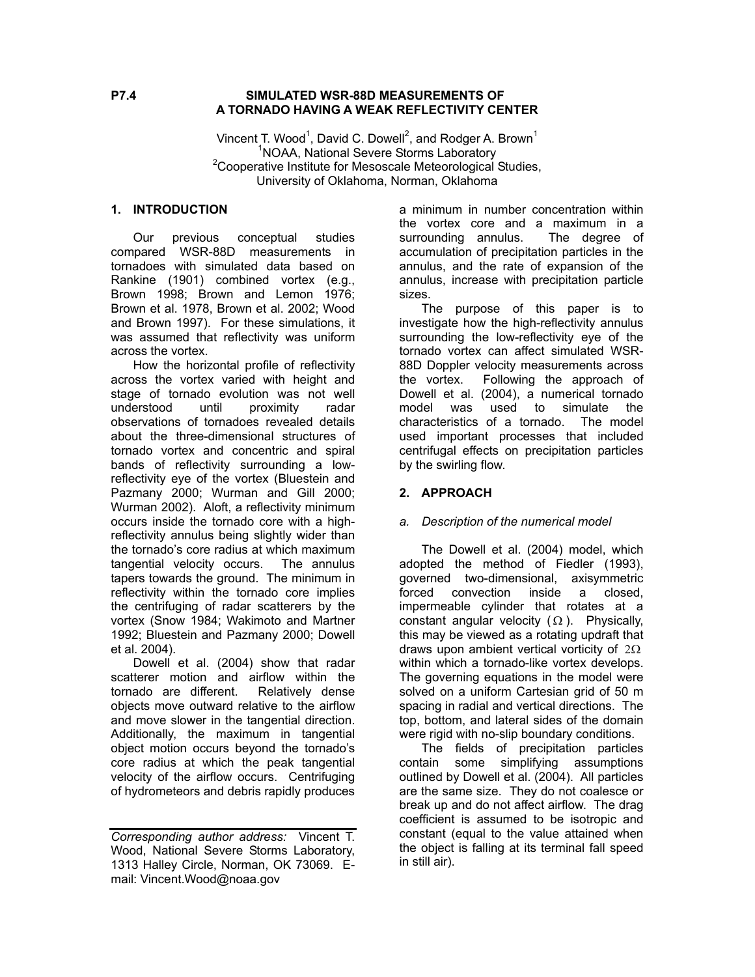## **P7.4 SIMULATED WSR-88D MEASUREMENTS OF A TORNADO HAVING A WEAK REFLECTIVITY CENTER**

Vincent T. Wood<sup>1</sup>, David C. Dowell<sup>2</sup>, and Rodger A. Brown<sup>1</sup> <sup>1</sup> NOAA, National Severe Storms Laboratory<sup>2</sup><br><sup>2</sup> Connective Institute for Measonals Mateoralsgisel  $2$ Cooperative Institute for Mesoscale Meteorological Studies, University of Oklahoma, Norman, Oklahoma

## **1. INTRODUCTION**

Our previous conceptual studies compared WSR-88D measurements in tornadoes with simulated data based on Rankine (1901) combined vortex (e.g., Brown 1998; Brown and Lemon 1976; Brown et al. 1978, Brown et al. 2002; Wood and Brown 1997). For these simulations, it was assumed that reflectivity was uniform across the vortex.

How the horizontal profile of reflectivity across the vortex varied with height and stage of tornado evolution was not well understood until proximity radar observations of tornadoes revealed details about the three-dimensional structures of tornado vortex and concentric and spiral bands of reflectivity surrounding a lowreflectivity eye of the vortex (Bluestein and Pazmany 2000; Wurman and Gill 2000; Wurman 2002). Aloft, a reflectivity minimum occurs inside the tornado core with a highreflectivity annulus being slightly wider than the tornado's core radius at which maximum tangential velocity occurs. The annulus tapers towards the ground. The minimum in reflectivity within the tornado core implies the centrifuging of radar scatterers by the vortex (Snow 1984; Wakimoto and Martner 1992; Bluestein and Pazmany 2000; Dowell et al. 2004).

 Dowell et al. (2004) show that radar scatterer motion and airflow within the tornado are different. Relatively dense objects move outward relative to the airflow and move slower in the tangential direction. Additionally, the maximum in tangential object motion occurs beyond the tornado's core radius at which the peak tangential velocity of the airflow occurs. Centrifuging of hydrometeors and debris rapidly produces

a minimum in number concentration within the vortex core and a maximum in a surrounding annulus. The degree of accumulation of precipitation particles in the annulus, and the rate of expansion of the annulus, increase with precipitation particle sizes.

The purpose of this paper is to investigate how the high-reflectivity annulus surrounding the low-reflectivity eye of the tornado vortex can affect simulated WSR-88D Doppler velocity measurements across the vortex. Following the approach of Dowell et al. (2004), a numerical tornado model was used to simulate the characteristics of a tornado. The model used important processes that included centrifugal effects on precipitation particles by the swirling flow.

# **2. APPROACH**

### *a. Description of the numerical model*

The Dowell et al. (2004) model, which adopted the method of Fiedler (1993), governed two-dimensional, axisymmetric forced convection inside a closed, impermeable cylinder that rotates at a constant angular velocity  $(\Omega)$ . Physically, this may be viewed as a rotating updraft that draws upon ambient vertical vorticity of  $2\Omega$ within which a tornado-like vortex develops. The governing equations in the model were solved on a uniform Cartesian grid of 50 m spacing in radial and vertical directions. The top, bottom, and lateral sides of the domain were rigid with no-slip boundary conditions.

The fields of precipitation particles contain some simplifying assumptions outlined by Dowell et al. (2004). All particles are the same size. They do not coalesce or break up and do not affect airflow. The drag coefficient is assumed to be isotropic and constant (equal to the value attained when the object is falling at its terminal fall speed in still air).

*Corresponding author address:* Vincent T. Wood, National Severe Storms Laboratory, 1313 Halley Circle, Norman, OK 73069. Email: Vincent.Wood@noaa.gov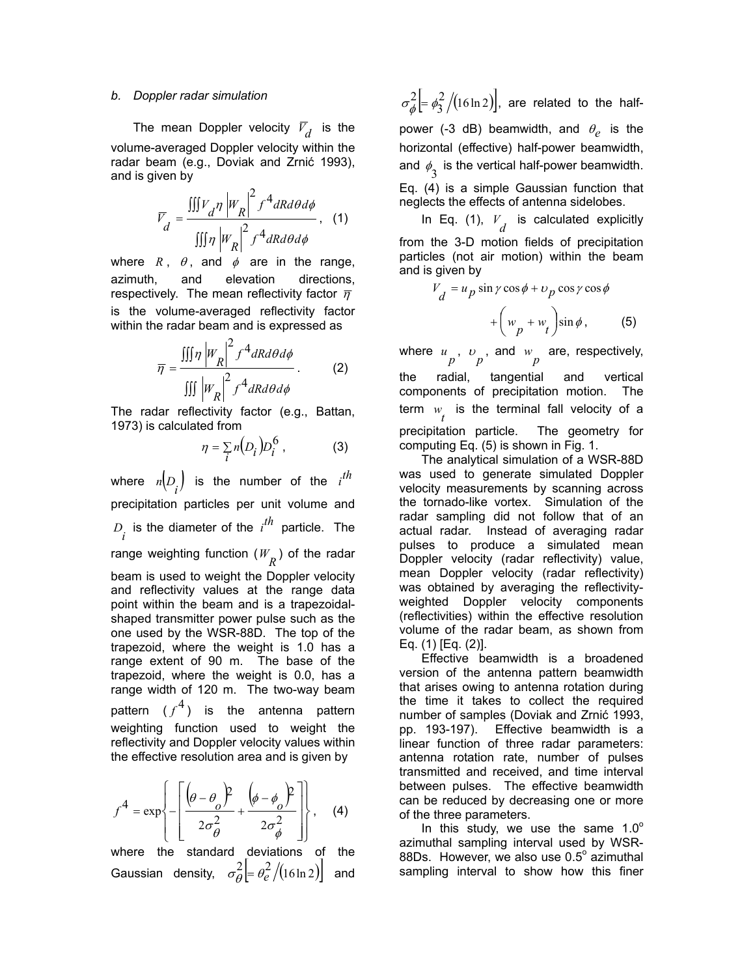#### *b. Doppler radar simulation*

The mean Doppler velocity  $\bar{V}_d$  is the volume-averaged Doppler velocity within the radar beam (e.g., Doviak and Zrnić 1993), and is given by

$$
\overline{V}_d = \frac{\iiint V_d \eta \left| W_R \right|^2 f^4 dR d\theta d\phi}{\iiint \eta \left| W_R \right|^2 f^4 dR d\theta d\phi}, \quad (1)
$$

where  $R$ ,  $\theta$ , and  $\phi$  are in the range, azimuth, and elevation directions, respectively. The mean reflectivity factor  $\bar{\eta}$ is the volume-averaged reflectivity factor within the radar beam and is expressed as

$$
\overline{\eta} = \frac{\iiint \eta \left| W_R \right|^2 f^4 dR d\theta d\phi}{\iiint \left| W_R \right|^2 f^4 dR d\theta d\phi}.
$$
 (2)

The radar reflectivity factor (e.g., Battan, 1973) is calculated from

$$
\eta = \sum_{i} n(D_i) D_i^6 \tag{3}
$$

where  $n\left( D_{\overline{i}}\right)$  is the number of the  $i^{th}$ precipitation particles per unit volume and  $D_i$  is the diameter of the  $i^{th}$  particle. The range weighting function  $(W_R^-)$  of the radar beam is used to weight the Doppler velocity and reflectivity values at the range data point within the beam and is a trapezoidalshaped transmitter power pulse such as the one used by the WSR-88D. The top of the trapezoid, where the weight is 1.0 has a range extent of 90 m. The base of the trapezoid, where the weight is 0.0, has a range width of 120 m. The two-way beam pattern  $(f^4)$  is the antenna pattern weighting function used to weight the reflectivity and Doppler velocity values within the effective resolution area and is given by

$$
f^{4} = \exp\left\{-\left[\frac{\left(\theta - \theta_{o}\right)^{2}}{2\sigma_{\theta}^{2}} + \frac{\left(\phi - \phi_{o}\right)^{2}}{2\sigma_{\phi}^{2}}\right]\right\}, \quad (4)
$$

where the standard deviations of the Gaussian density,  $\sigma_\theta^2 \Big| = \theta_e^2 / (16 \ln 2) \Big|$  and

 $\sigma_{\phi}^2$  =  $\phi_3^2$  /(16ln 2)], are related to the halfpower (-3 dB) beamwidth, and  $\theta_e$  is the horizontal (effective) half-power beamwidth, and  $\phi_{\overline{3}}$  is the vertical half-power beamwidth.

Eq. (4) is a simple Gaussian function that neglects the effects of antenna sidelobes.

In Eq. (1),  $V_d$  is calculated explicitly from the 3-D motion fields of precipitation particles (not air motion) within the beam and is given by

$$
V_d = u_p \sin \gamma \cos \phi + v_p \cos \gamma \cos \phi
$$

$$
+ \left( w_p + w_t \right) \sin \phi, \qquad (5)
$$

where  $u_p$ ,  $v_p$ , and  $w_p$  are, respectively, the radial, tangential and vertical components of precipitation motion. The term  $w$  is the terminal fall velocity of a precipitation particle. The geometry for computing Eq. (5) is shown in Fig. 1.

The analytical simulation of a WSR-88D was used to generate simulated Doppler velocity measurements by scanning across the tornado-like vortex. Simulation of the radar sampling did not follow that of an actual radar. Instead of averaging radar pulses to produce a simulated mean Doppler velocity (radar reflectivity) value, mean Doppler velocity (radar reflectivity) was obtained by averaging the reflectivityweighted Doppler velocity components (reflectivities) within the effective resolution volume of the radar beam, as shown from Eq. (1) [Eq. (2)].

Effective beamwidth is a broadened version of the antenna pattern beamwidth that arises owing to antenna rotation during the time it takes to collect the required number of samples (Doviak and Zrnić 1993, pp. 193-197). Effective beamwidth is a linear function of three radar parameters: antenna rotation rate, number of pulses transmitted and received, and time interval between pulses. The effective beamwidth can be reduced by decreasing one or more of the three parameters.

In this study, we use the same  $1.0^\circ$ azimuthal sampling interval used by WSR-88Ds. However, we also use  $0.5^\circ$  azimuthal sampling interval to show how this finer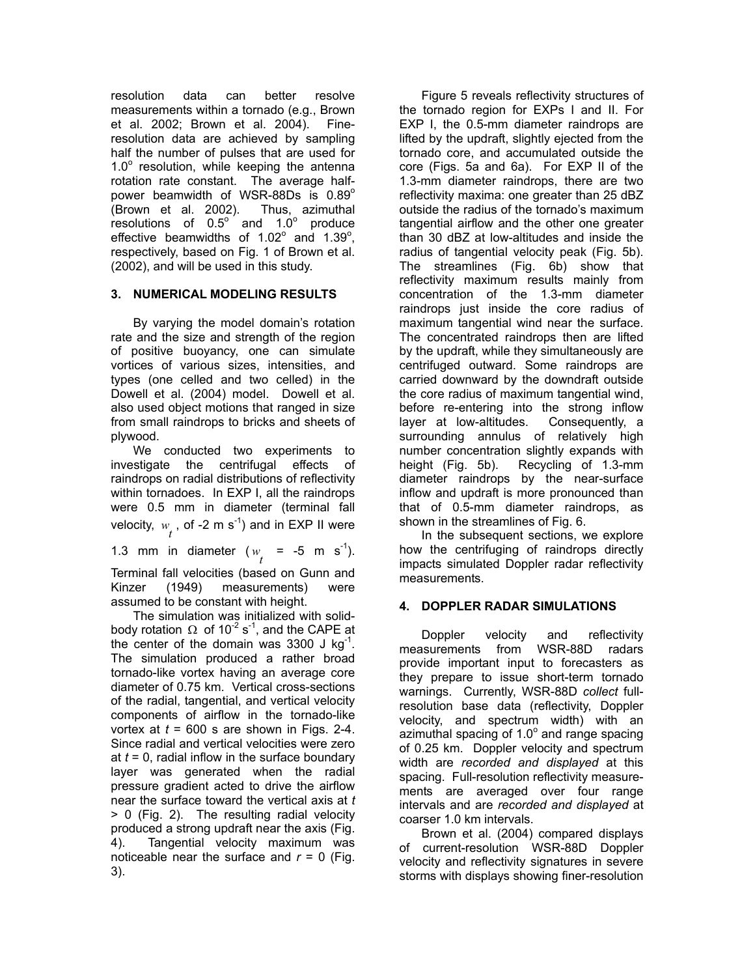resolution data can better resolve measurements within a tornado (e.g., Brown et al. 2002; Brown et al. 2004). Fineresolution data are achieved by sampling half the number of pulses that are used for  $1.0^\circ$  resolution, while keeping the antenna rotation rate constant. The average halfpower beamwidth of WSR-88Ds is 0.89°<br>(Brown et al. 2002). Thus, azimuthal (Brown et al. 2002). resolutions of  $0.5^\circ$  and  $1.0^\circ$  produce effective beamwidths of  $1.02^{\circ}$  and  $1.39^{\circ}$ , respectively, based on Fig. 1 of Brown et al. (2002), and will be used in this study.

# **3. NUMERICAL MODELING RESULTS**

 By varying the model domain's rotation rate and the size and strength of the region of positive buoyancy, one can simulate vortices of various sizes, intensities, and types (one celled and two celled) in the Dowell et al. (2004) model. Dowell et al. also used object motions that ranged in size from small raindrops to bricks and sheets of plywood.

 We conducted two experiments to investigate the centrifugal effects of raindrops on radial distributions of reflectivity within tornadoes. In EXP I, all the raindrops were 0.5 mm in diameter (terminal fall velocity,  $w_{\vec{l}}$  , of -2 m s<sup>-1</sup>) and in EXP II were

1.3 mm in diameter ( $w_t = -5$  m s<sup>-1</sup>).

Terminal fall velocities (based on Gunn and Kinzer (1949) measurements) were assumed to be constant with height.

 The simulation was initialized with solidbody rotation  $\Omega$  of 10<sup>-2</sup> s<sup>-1</sup>, and the CAPE at the center of the domain was 3300 J kg<sup>-1</sup>. The simulation produced a rather broad tornado-like vortex having an average core diameter of 0.75 km. Vertical cross-sections of the radial, tangential, and vertical velocity components of airflow in the tornado-like vortex at  $t = 600$  s are shown in Figs. 2-4. Since radial and vertical velocities were zero at *t* = 0, radial inflow in the surface boundary layer was generated when the radial pressure gradient acted to drive the airflow near the surface toward the vertical axis at *t* > 0 (Fig. 2). The resulting radial velocity produced a strong updraft near the axis (Fig. 4). Tangential velocity maximum was noticeable near the surface and  $r = 0$  (Fig. 3).

 Figure 5 reveals reflectivity structures of the tornado region for EXPs I and II. For EXP I, the 0.5-mm diameter raindrops are lifted by the updraft, slightly ejected from the tornado core, and accumulated outside the core (Figs. 5a and 6a). For EXP II of the 1.3-mm diameter raindrops, there are two reflectivity maxima: one greater than 25 dBZ outside the radius of the tornado's maximum tangential airflow and the other one greater than 30 dBZ at low-altitudes and inside the radius of tangential velocity peak (Fig. 5b). The streamlines (Fig. 6b) show that reflectivity maximum results mainly from concentration of the 1.3-mm diameter raindrops just inside the core radius of maximum tangential wind near the surface. The concentrated raindrops then are lifted by the updraft, while they simultaneously are centrifuged outward. Some raindrops are carried downward by the downdraft outside the core radius of maximum tangential wind, before re-entering into the strong inflow layer at low-altitudes. Consequently, a surrounding annulus of relatively high number concentration slightly expands with height (Fig. 5b). Recycling of 1.3-mm diameter raindrops by the near-surface inflow and updraft is more pronounced than that of 0.5-mm diameter raindrops, as shown in the streamlines of Fig. 6.

 In the subsequent sections, we explore how the centrifuging of raindrops directly impacts simulated Doppler radar reflectivity measurements.

# **4. DOPPLER RADAR SIMULATIONS**

 Doppler velocity and reflectivity measurements from WSR-88D radars provide important input to forecasters as they prepare to issue short-term tornado warnings. Currently, WSR-88D *collect* fullresolution base data (reflectivity, Doppler velocity, and spectrum width) with an azimuthal spacing of 1.0 $^{\circ}$  and range spacing of 0.25 km. Doppler velocity and spectrum width are *recorded and displayed* at this spacing. Full-resolution reflectivity measurements are averaged over four range intervals and are *recorded and displayed* at coarser 1.0 km intervals.

 Brown et al. (2004) compared displays of current-resolution WSR-88D Doppler velocity and reflectivity signatures in severe storms with displays showing finer-resolution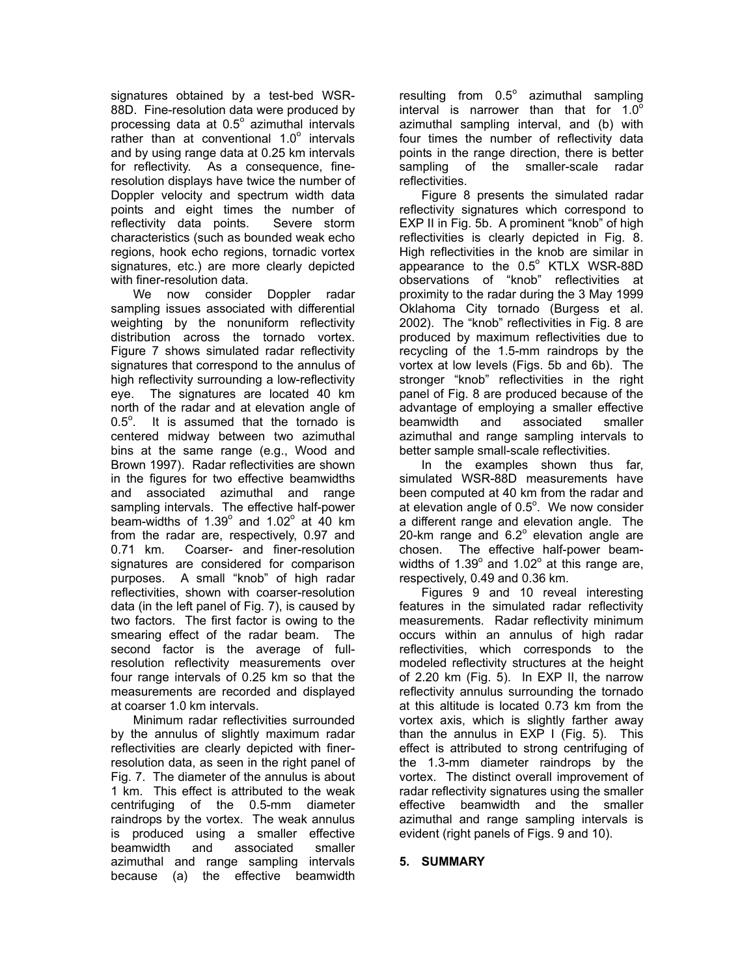signatures obtained by a test-bed WSR-88D. Fine-resolution data were produced by processing data at  $0.5^{\circ}$  azimuthal intervals  $\frac{1}{x}$  rather than at conventional 1.0 $\degree$  intervals and by using range data at 0.25 km intervals for reflectivity. As a consequence, fineresolution displays have twice the number of Doppler velocity and spectrum width data points and eight times the number of reflectivity data points. Severe storm characteristics (such as bounded weak echo regions, hook echo regions, tornadic vortex signatures, etc.) are more clearly depicted with finer-resolution data.

We now consider Doppler radar sampling issues associated with differential weighting by the nonuniform reflectivity distribution across the tornado vortex. Figure 7 shows simulated radar reflectivity signatures that correspond to the annulus of high reflectivity surrounding a low-reflectivity eye. The signatures are located 40 km north of the radar and at elevation angle of  $0.5^\circ$ . It is assumed that the tornado is centered midway between two azimuthal bins at the same range (e.g., Wood and Brown 1997). Radar reflectivities are shown in the figures for two effective beamwidths and associated azimuthal and range sampling intervals. The effective half-power beam-widths of  $1.39^\circ$  and  $1.02^\circ$  at 40 km from the radar are, respectively, 0.97 and 0.71 km. Coarser- and finer-resolution signatures are considered for comparison purposes. A small "knob" of high radar reflectivities, shown with coarser-resolution data (in the left panel of Fig. 7), is caused by two factors. The first factor is owing to the smearing effect of the radar beam. The second factor is the average of fullresolution reflectivity measurements over four range intervals of 0.25 km so that the measurements are recorded and displayed at coarser 1.0 km intervals.

 Minimum radar reflectivities surrounded by the annulus of slightly maximum radar reflectivities are clearly depicted with finerresolution data, as seen in the right panel of Fig. 7. The diameter of the annulus is about 1 km. This effect is attributed to the weak centrifuging of the 0.5-mm diameter raindrops by the vortex. The weak annulus is produced using a smaller effective beamwidth and associated smaller azimuthal and range sampling intervals because (a) the effective beamwidth

resulting from  $0.5^{\circ}$  azimuthal sampling interval is narrower than that for  $1.0^{\circ}$ azimuthal sampling interval, and (b) with four times the number of reflectivity data points in the range direction, there is better sampling of the smaller-scale radar reflectivities.

 Figure 8 presents the simulated radar reflectivity signatures which correspond to EXP II in Fig. 5b. A prominent "knob" of high reflectivities is clearly depicted in Fig. 8. High reflectivities in the knob are similar in appearance to the  $0.5^\circ$  KTLX WSR-88D observations of "knob" reflectivities at proximity to the radar during the 3 May 1999 Oklahoma City tornado (Burgess et al. 2002). The "knob" reflectivities in Fig. 8 are produced by maximum reflectivities due to recycling of the 1.5-mm raindrops by the vortex at low levels (Figs. 5b and 6b). The stronger "knob" reflectivities in the right panel of Fig. 8 are produced because of the advantage of employing a smaller effective beamwidth and associated smaller azimuthal and range sampling intervals to better sample small-scale reflectivities.

 In the examples shown thus far, simulated WSR-88D measurements have been computed at 40 km from the radar and at elevation angle of  $0.5^\circ$ . We now consider a different range and elevation angle. The  $20$ -km range and  $6.2^\circ$  elevation angle are chosen. The effective half-power beamwidths of 1.39 $^{\circ}$  and 1.02 $^{\circ}$  at this range are, respectively, 0.49 and 0.36 km.

 Figures 9 and 10 reveal interesting features in the simulated radar reflectivity measurements. Radar reflectivity minimum occurs within an annulus of high radar reflectivities, which corresponds to the modeled reflectivity structures at the height of 2.20 km (Fig. 5). In EXP II, the narrow reflectivity annulus surrounding the tornado at this altitude is located 0.73 km from the vortex axis, which is slightly farther away than the annulus in EXP I (Fig. 5). This effect is attributed to strong centrifuging of the 1.3-mm diameter raindrops by the vortex. The distinct overall improvement of radar reflectivity signatures using the smaller effective beamwidth and the smaller azimuthal and range sampling intervals is evident (right panels of Figs. 9 and 10).

### **5. SUMMARY**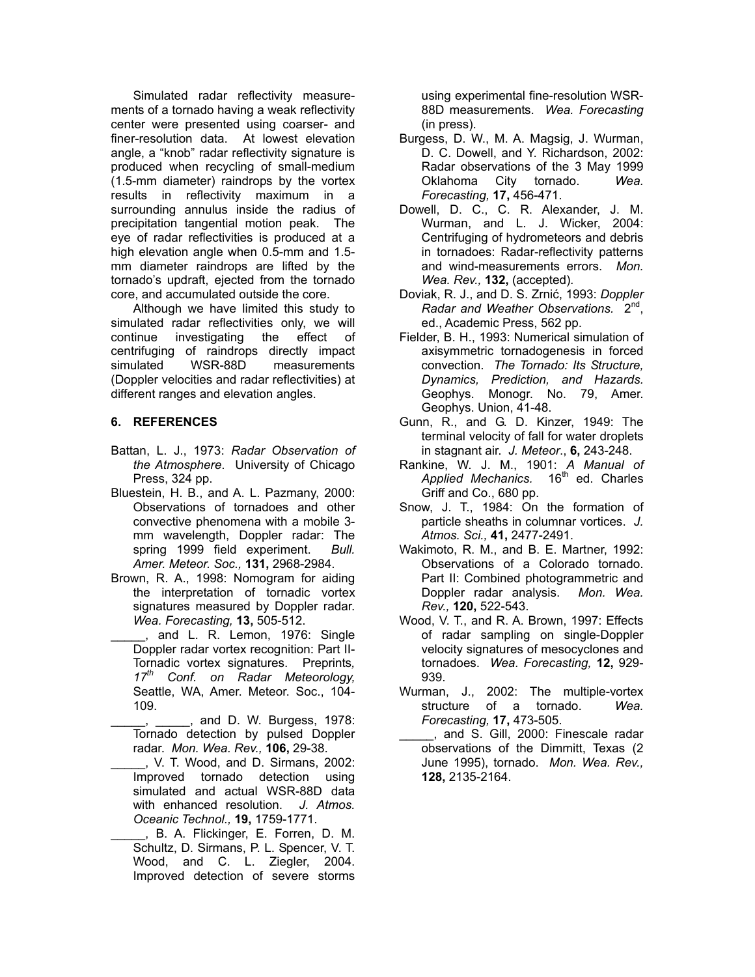Simulated radar reflectivity measurements of a tornado having a weak reflectivity center were presented using coarser- and finer-resolution data. At lowest elevation angle, a "knob" radar reflectivity signature is produced when recycling of small-medium (1.5-mm diameter) raindrops by the vortex results in reflectivity maximum in a surrounding annulus inside the radius of precipitation tangential motion peak. The eye of radar reflectivities is produced at a high elevation angle when 0.5-mm and 1.5 mm diameter raindrops are lifted by the tornado's updraft, ejected from the tornado core, and accumulated outside the core.

 Although we have limited this study to simulated radar reflectivities only, we will continue investigating the effect of centrifuging of raindrops directly impact simulated WSR-88D measurements (Doppler velocities and radar reflectivities) at different ranges and elevation angles.

## **6. REFERENCES**

- Battan, L. J., 1973: *Radar Observation of the Atmosphere*. University of Chicago Press, 324 pp.
- Bluestein, H. B., and A. L. Pazmany, 2000: Observations of tornadoes and other convective phenomena with a mobile 3 mm wavelength, Doppler radar: The spring 1999 field experiment. *Bull. Amer. Meteor. Soc.,* **131,** 2968-2984.
- Brown, R. A., 1998: Nomogram for aiding the interpretation of tornadic vortex signatures measured by Doppler radar. *Wea. Forecasting,* **13,** 505-512.
- . and L. R. Lemon, 1976: Single Doppler radar vortex recognition: Part II-Tornadic vortex signatures. Preprints*, 17th Conf. on Radar Meteorology,* Seattle, WA, Amer. Meteor. Soc., 104- 109.
- $_$ , and D. W. Burgess, 1978: Tornado detection by pulsed Doppler radar. *Mon. Wea. Rev.,* **106,** 29-38.
- \_\_\_\_\_, V. T. Wood, and D. Sirmans, 2002: Improved tornado detection using simulated and actual WSR-88D data with enhanced resolution. *J. Atmos. Oceanic Technol.,* **19,** 1759-1771.
- \_\_\_\_\_, B. A. Flickinger, E. Forren, D. M. Schultz, D. Sirmans, P. L. Spencer, V. T. Wood, and C. L. Ziegler, 2004. Improved detection of severe storms

using experimental fine-resolution WSR-88D measurements. *Wea. Forecasting* (in press).

- Burgess, D. W., M. A. Magsig, J. Wurman, D. C. Dowell, and Y. Richardson, 2002: Radar observations of the 3 May 1999 Oklahoma City tornado. *Wea. Forecasting,* **17,** 456-471.
- Dowell, D. C., C. R. Alexander, J. M. Wurman, and L. J. Wicker, 2004: Centrifuging of hydrometeors and debris in tornadoes: Radar-reflectivity patterns and wind-measurements errors. *Mon. Wea. Rev.,* **132,** (accepted)*.*
- Doviak, R. J., and D. S. Zrnić, 1993: *Doppler Radar and Weather Observations.* 2nd, ed., Academic Press, 562 pp.
- Fielder, B. H., 1993: Numerical simulation of axisymmetric tornadogenesis in forced convection. *The Tornado: Its Structure, Dynamics, Prediction, and Hazards.* Geophys. Monogr. No. 79, Amer. Geophys. Union, 41-48.
- Gunn, R., and G. D. Kinzer, 1949: The terminal velocity of fall for water droplets in stagnant air. *J. Meteor*., **6,** 243-248.
- Rankine, W. J. M., 1901: *A Manual of*  Applied Mechanics. 16<sup>th</sup> ed. Charles Griff and Co., 680 pp.
- Snow, J. T., 1984: On the formation of particle sheaths in columnar vortices. *J. Atmos. Sci.,* **41,** 2477-2491.
- Wakimoto, R. M., and B. E. Martner, 1992: Observations of a Colorado tornado. Part II: Combined photogrammetric and Doppler radar analysis. *Mon. Wea. Rev.,* **120,** 522-543.
- Wood, V. T., and R. A. Brown, 1997: Effects of radar sampling on single-Doppler velocity signatures of mesocyclones and tornadoes. *Wea. Forecasting,* **12,** 929- 939.
- Wurman, J., 2002: The multiple-vortex structure of a tornado. *Wea. Forecasting,* **17,** 473-505.
- \_\_\_\_\_, and S. Gill, 2000: Finescale radar observations of the Dimmitt, Texas (2 June 1995), tornado. *Mon. Wea. Rev.,* **128,** 2135-2164.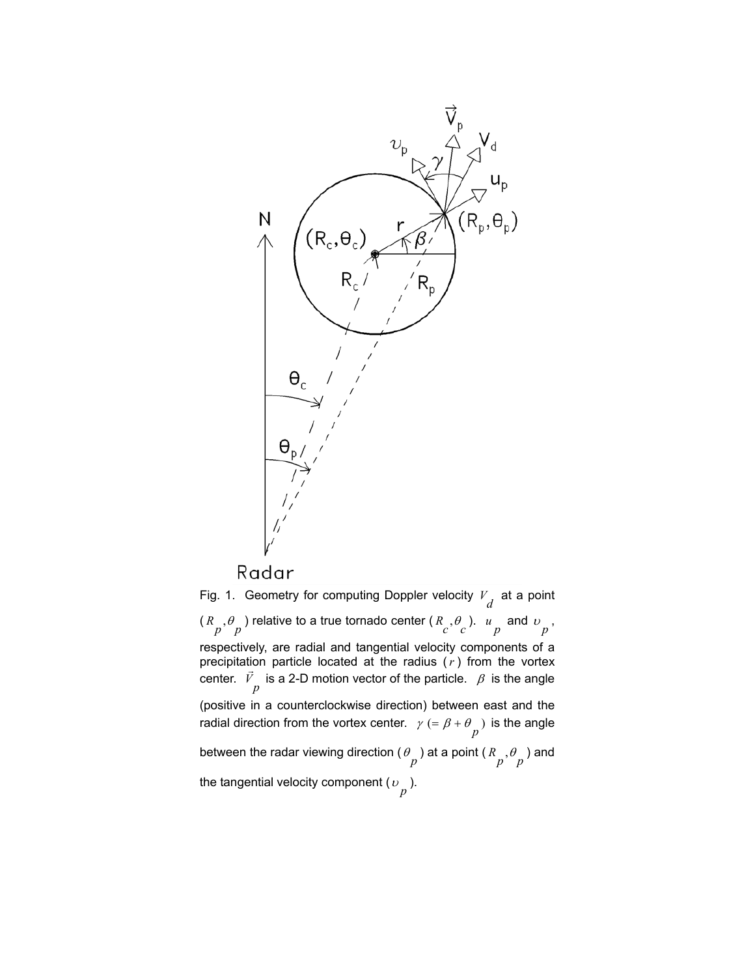

Fig. 1. Geometry for computing Doppler velocity  $V_d$  at a point  $(R_p, \theta_p)$  relative to a true tornado center  $(R_c, \theta_c)$ .  $u_p$  and  $v_p$ , respectively, are radial and tangential velocity components of a precipitation particle located at the radius (*r* ) from the vortex center.  $\vec{V}$  is a 2-D motion vector of the particle.  $\beta$  is the angle (positive in a counterclockwise direction) between east and the radial direction from the vortex center.  $\gamma (= \beta + \theta \choose p)$  is the angle between the radar viewing direction (  $\theta \frac{}{p}$  ) at a point (  $R \frac{}{p}$  ,  $\theta \frac{}{p}$  ) and the tangential velocity component ( $\omega_{\stackrel{\ }{p}}$ ).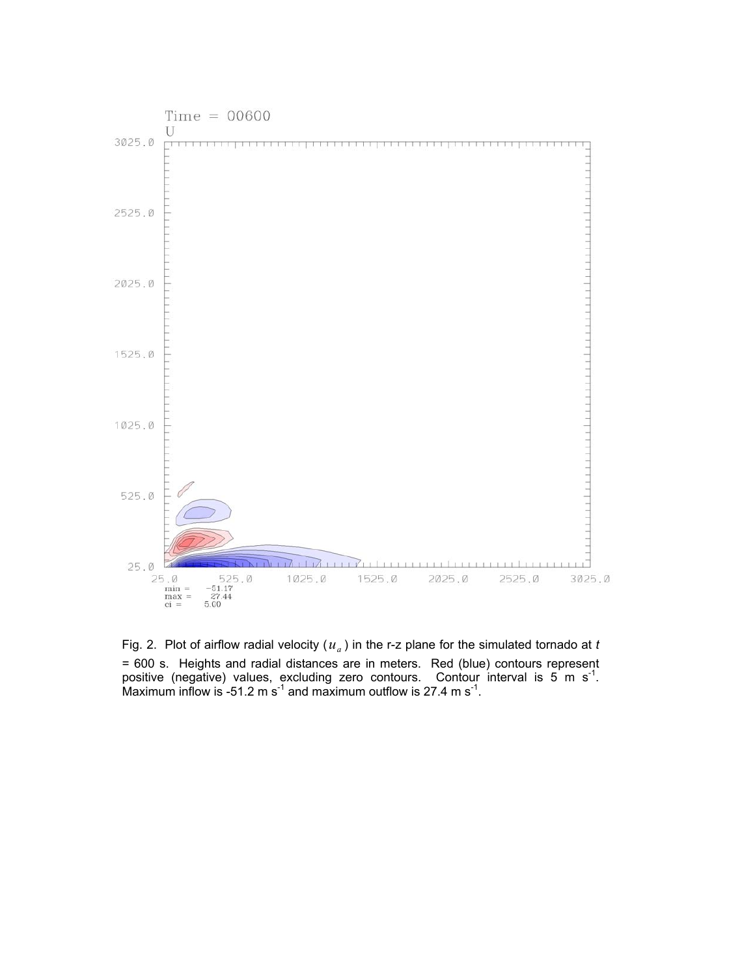

Fig. 2. Plot of airflow radial velocity  $(u_a)$  in the r-z plane for the simulated tornado at *t* = 600 s. Heights and radial distances are in meters. Red (blue) contours represent positive (negative) values, excluding zero contours. Contour interval is 5 m s<sup>-1</sup>. Maximum inflow is -51.2 m s<sup>-1</sup> and maximum outflow is 27.4 m s<sup>-1</sup>.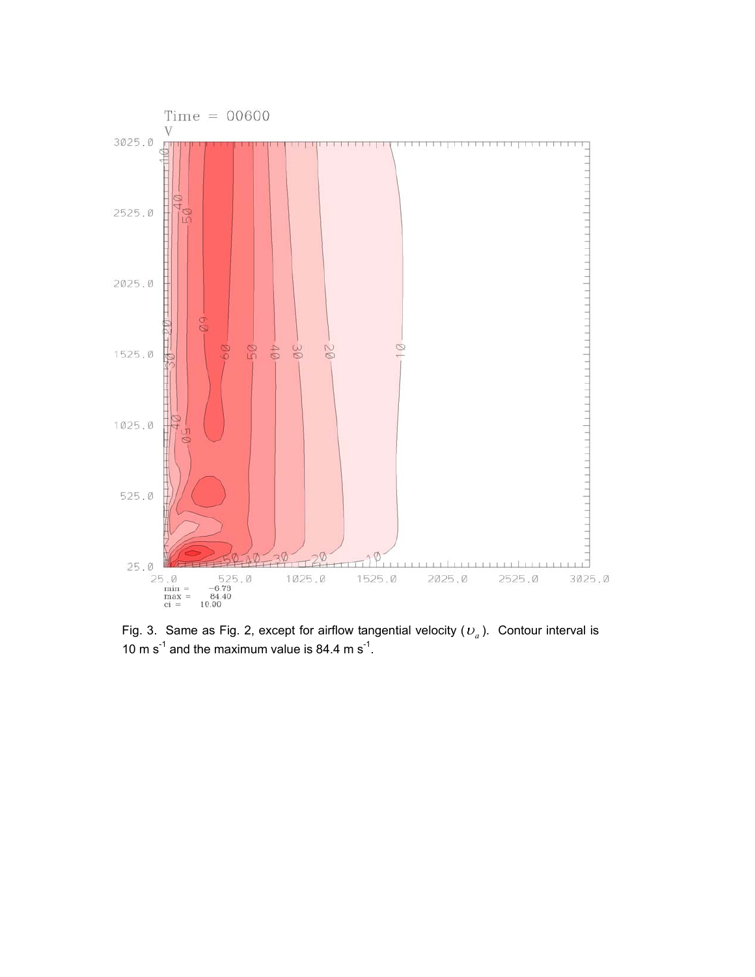

10 m  $s^{-1}$  and the maximum value is 84.4 m  $s^{-1}$ .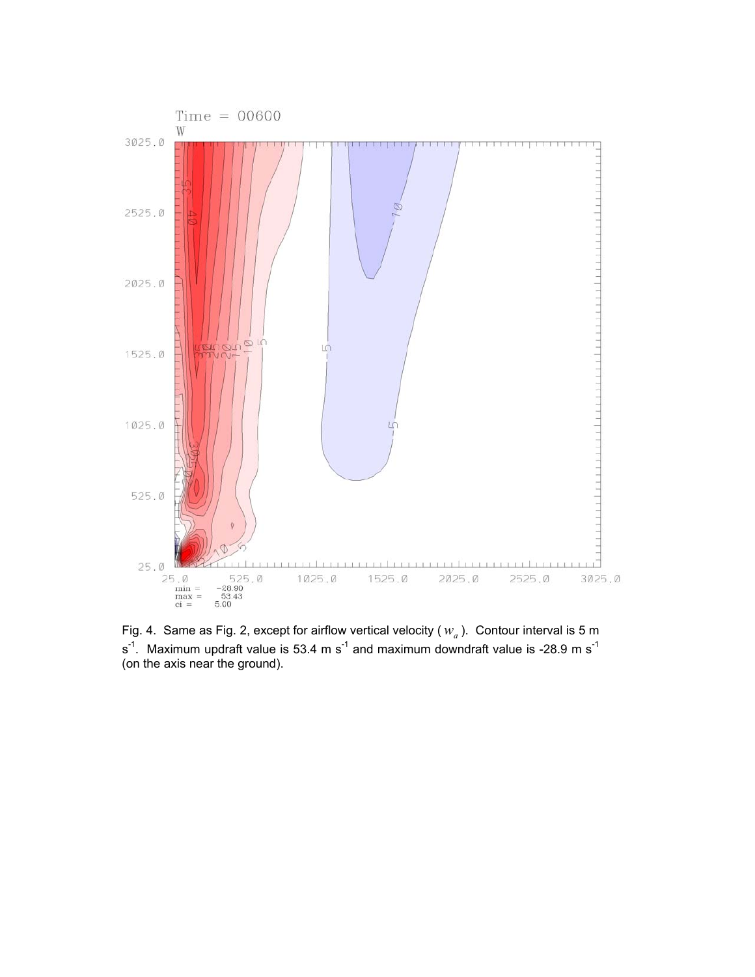

Fig. 4. Same as Fig. 2, except for airflow vertical velocity ( $w_a$ ). Contour interval is 5 m  $s<sup>-1</sup>$ . Maximum updraft value is 53.4 m s<sup>-1</sup> and maximum downdraft value is -28.9 m s<sup>-1</sup> (on the axis near the ground).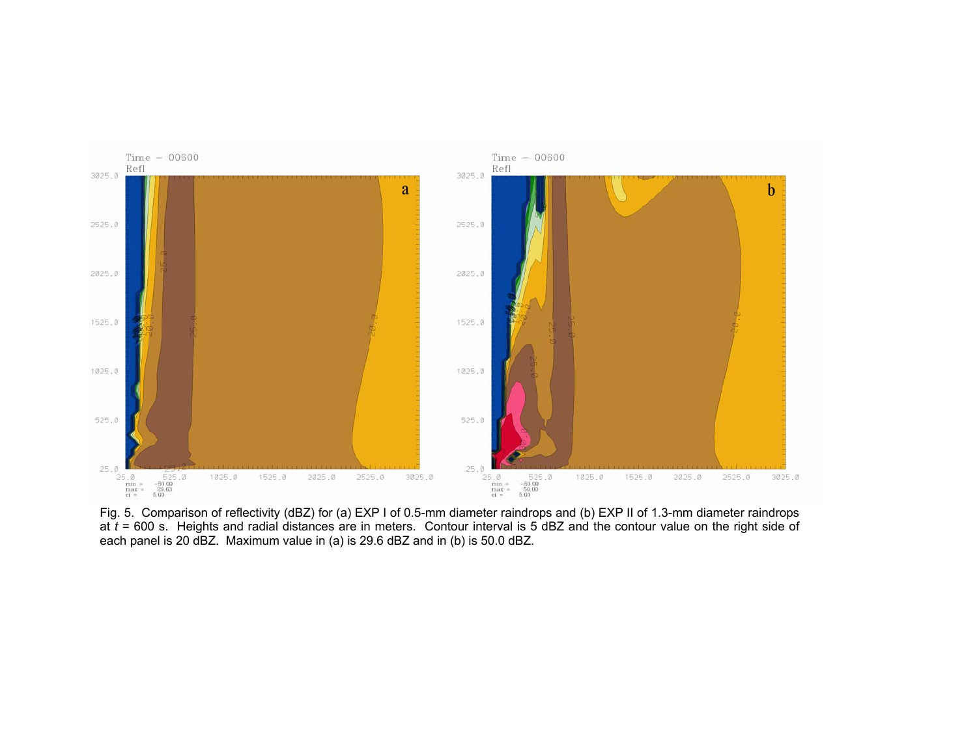

Fig. 5. Comparison of reflectivity (dBZ) for (a) EXP I of 0.5-mm diameter raindrops and (b) EXP II of 1.3-mm diameter raindrops at *t* = 600 s. Heights and radial distances are in meters. Contour interval is 5 dBZ and the contour value on the right side of each panel is 20 dBZ. Maximum value in (a) is 29.6 dBZ and in (b) is 50.0 dBZ.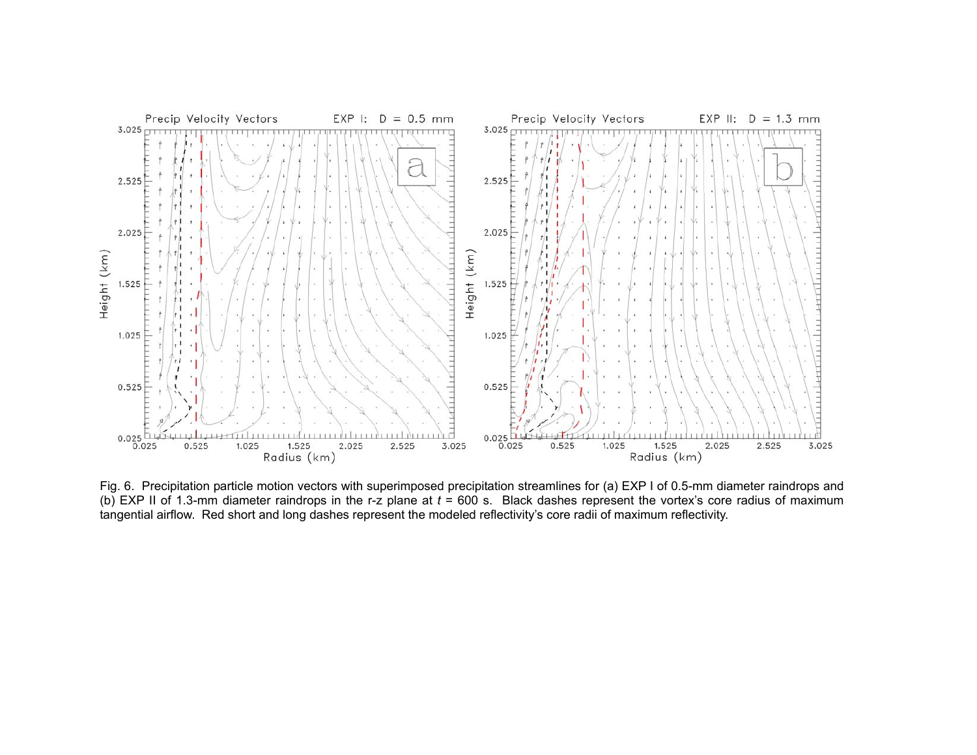

Fig. 6. Precipitation particle motion vectors with superimposed precipitation streamlines for (a) EXP I of 0.5-mm diameter raindrops and (b) EXP II of 1.3-mm diameter raindrops in the r-z plane at *t* = 600 s. Black dashes represent the vortex's core radius of maximum tangential airflow. Red short and long dashes represent the modeled reflectivity's core radii of maximum reflectivity.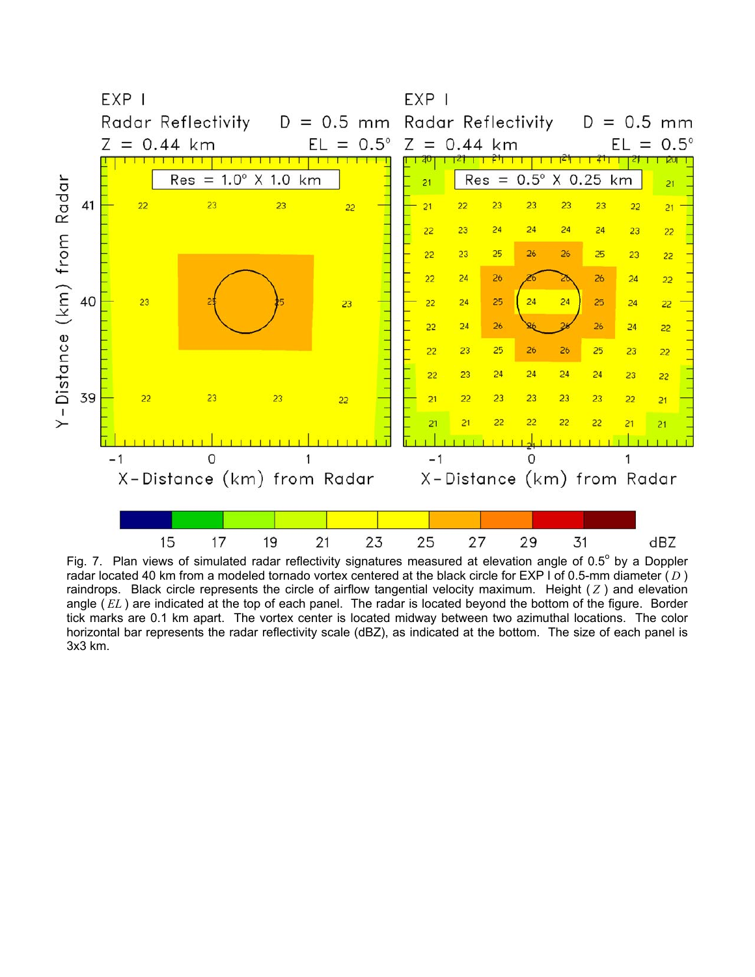

Fig. 7. Plan views of simulated radar reflectivity signatures measured at elevation angle of 0.5 $^{\circ}$  by a Doppler radar located 40 km from a modeled tornado vortex centered at the black circle for EXP I of 0.5-mm diameter ( *D* ) raindrops. Black circle represents the circle of airflow tangential velocity maximum. Height ( *Z* ) and elevation angle ( *EL* ) are indicated at the top of each panel. The radar is located beyond the bottom of the figure. Border tick marks are 0.1 km apart. The vortex center is located midway between two azimuthal locations. The color horizontal bar represents the radar reflectivity scale (dBZ), as indicated at the bottom. The size of each panel is 3x3 km.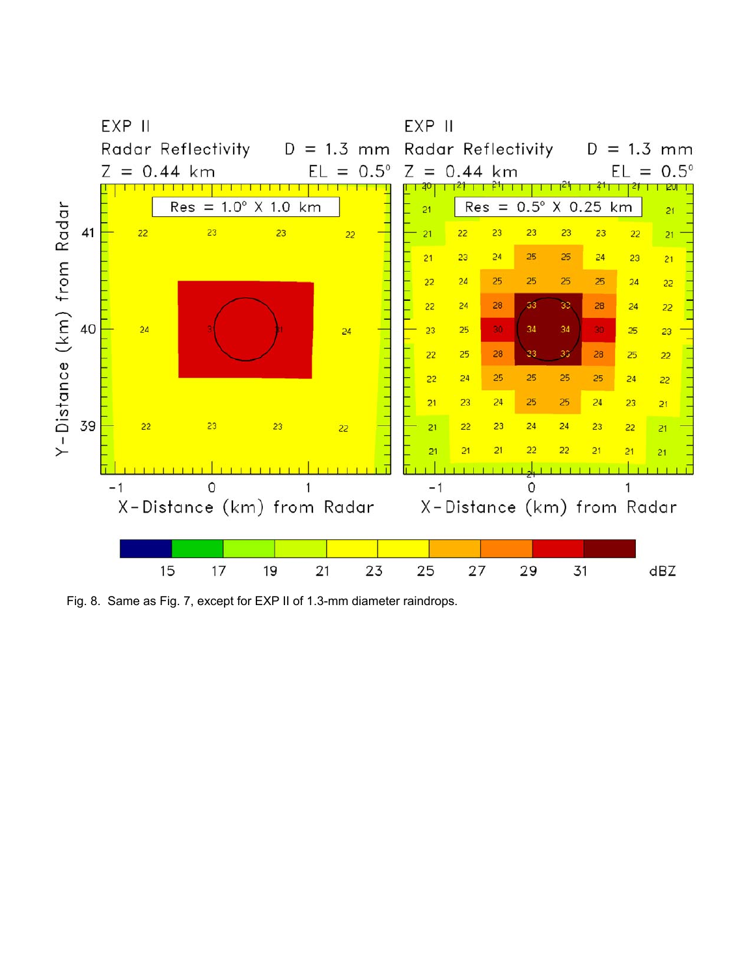

Fig. 8. Same as Fig. 7, except for EXP II of 1.3-mm diameter raindrops.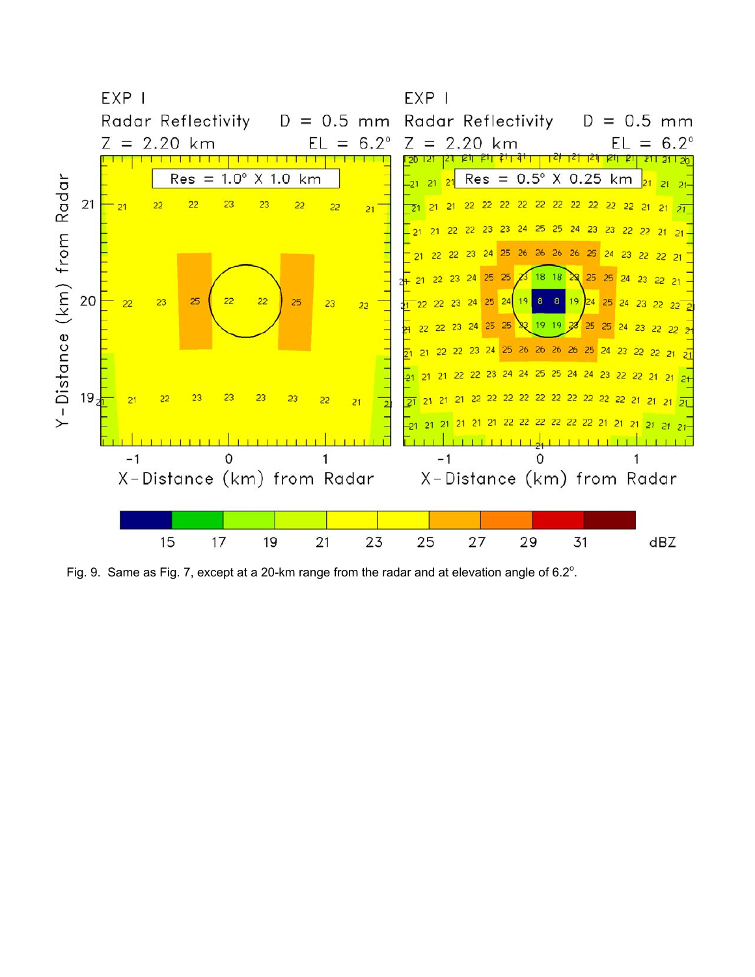

Fig. 9. Same as Fig. 7, except at a 20-km range from the radar and at elevation angle of  $6.2^{\circ}$ .